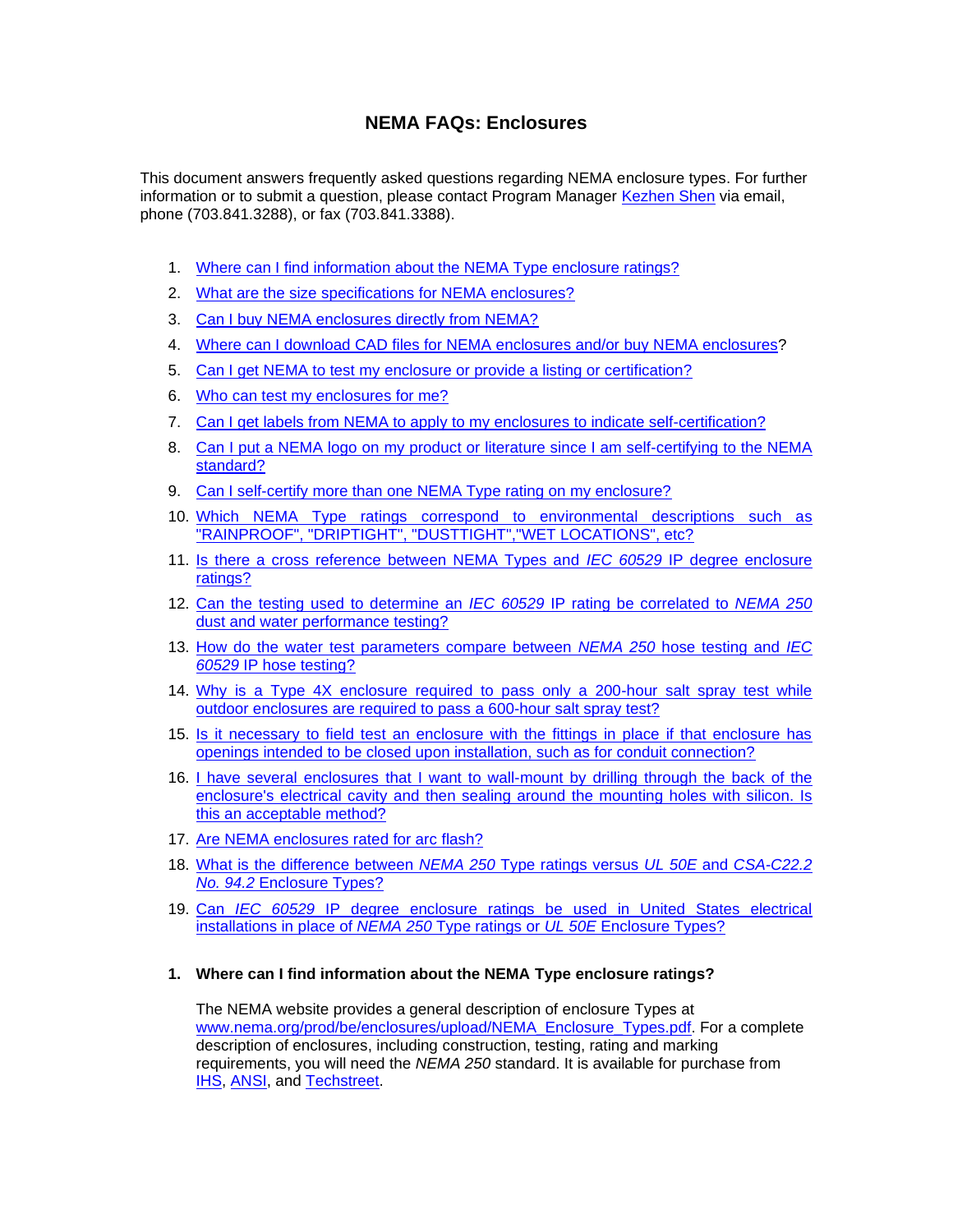# **NEMA FAQs: Enclosures**

This document answers frequently asked questions regarding NEMA enclosure types. For further information or to submit a question, please contact Program Manager [Kezhen Shen](mailto:Keshen.Shen@nema.org) via email, phone (703.841.3288), or fax (703.841.3388).

- 1. [Where can I find information about the NEMA Type enclosure ratings?](#page-0-0)
- 2. [What are the size specifications for NEMA enclosures?](#page-1-0)
- 3. [Can I buy NEMA enclosures directly from NEMA?](#page-1-1)
- 4. [Where can I download CAD files for NEMA](#page-1-2) enclosures and/or buy NEMA enclosures?
- 5. [Can I get NEMA to test my enclosure or provide a listing or certification?](#page-1-3)
- 6. [Who can test my enclosures for me?](#page-1-4)
- 7. [Can I get labels from NEMA to apply to my enclosures to indicate self-certification?](#page-1-5)
- 8. [Can I put a NEMA logo on my product or literature since I am self-certifying to the NEMA](#page-1-6)  [standard?](#page-1-6)
- 9. [Can I self-certify more than one NEMA Type rating on my enclosure?](#page-2-0)
- 10. [Which NEMA Type ratings correspond to environmental descriptions such as](#page-2-1)  ["RAINPROOF", "DRIPTIGHT", "DUSTTIGHT","WET LOCATIONS", etc?](#page-2-1)
- 11. Is there a [cross reference between NEMA Types and](#page-2-2) *IEC 60529* IP degree enclosure [ratings?](#page-2-2)
- 12. [Can the testing used to determine an](#page-2-3) *IEC 60529* IP rating be correlated to *NEMA 250* [dust and water performance testing?](#page-2-3)
- 13. How do the water [test parameters compare between](#page-3-0) *NEMA 250* hose testing and *IEC 60529* [IP hose testing?](#page-3-0)
- 14. [Why is a Type 4X enclosure required to pass only a 200-hour salt spray test while](#page-3-1)  [outdoor enclosures are required to pass](#page-3-1) a 600-hour salt spray test?
- 15. [Is it necessary to field test an enclosure with the fittings in place if that enclosure has](#page-3-2)  [openings intended to be closed upon installation, such as for conduit connection?](#page-3-2)
- 16. I have several enclosures that I want to wall-mount by drilling through the back of the enclosure's electrical cavity and then sealing around the mounting holes with silicon. Is [this an acceptable method?](#page-4-0)
- 17. [Are NEMA enclosures rated for arc flash?](#page-4-1)
- 18. [What is the difference between](#page-4-2) *NEMA 250* Type ratings versus *UL 50E* and *CSA-C22.2 No. 94.2* [Enclosure Types?](#page-4-2)
- 19. Can *IEC 60529* [IP degree enclosure ratings be used in United States electrical](#page-4-3)  [installations in place of](#page-4-3) *NEMA 250* Type ratings or *UL 50E* Enclosure Types?

#### <span id="page-0-0"></span>**1. Where can I find information about the NEMA Type enclosure ratings?**

The NEMA website provides a general description of enclosure Types at [www.nema.org/prod/be/enclosures/upload/NEMA\\_Enclosure\\_Types.pdf.](http://www.nema.org/prod/be/enclosures/upload/NEMA_Enclosure_Types.pdf) For a complete description of enclosures, including construction, testing, rating and marking requirements, you will need the *NEMA 250* standard. It is available for purchase from [IHS,](http://global.ihs.com/) [ANSI,](http://webstore.ansi.org/) and [Techstreet.](http://www.techstreet.com/)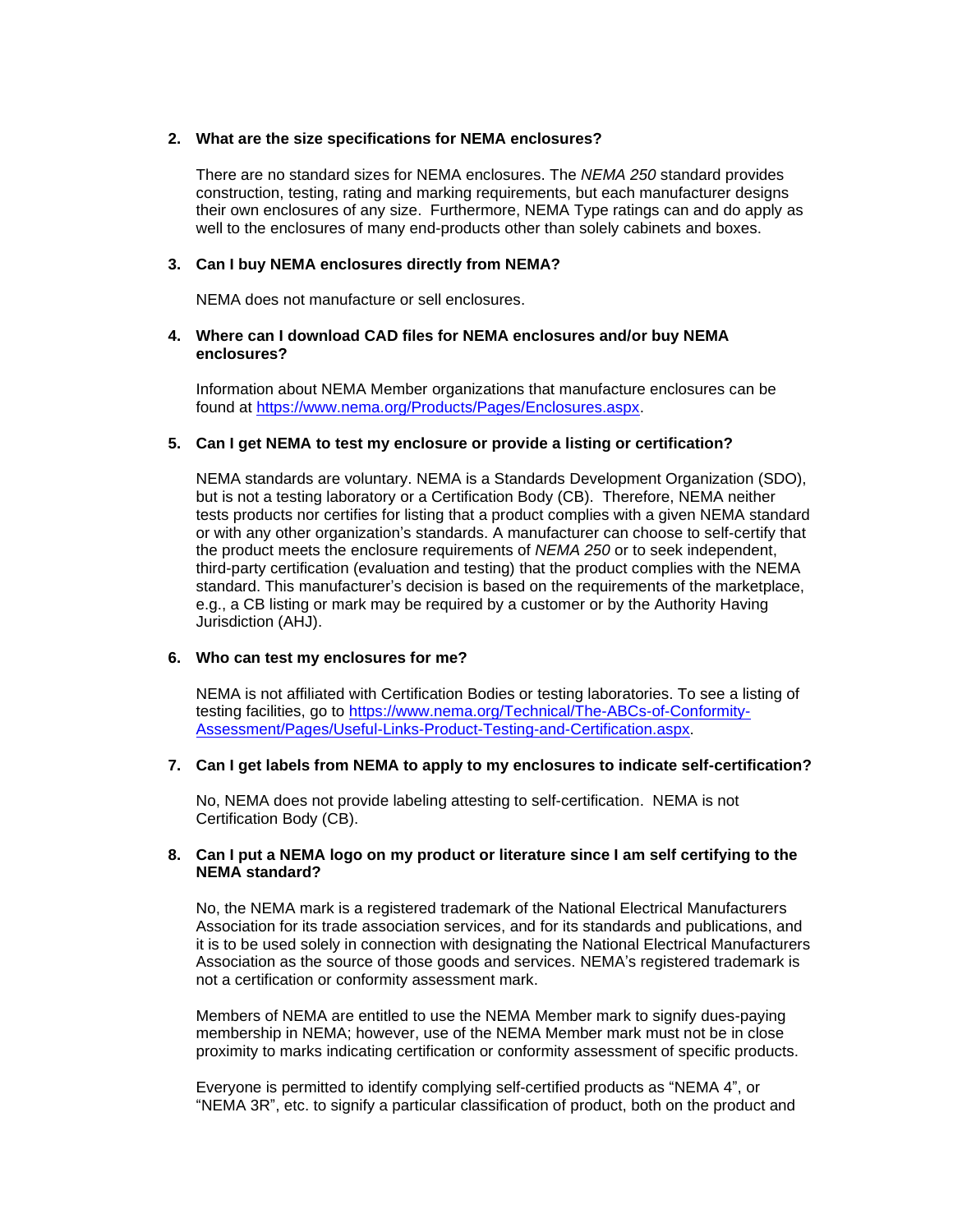# <span id="page-1-0"></span>**2. What are the size specifications for NEMA enclosures?**

There are no standard sizes for NEMA enclosures. The *NEMA 250* standard provides construction, testing, rating and marking requirements, but each manufacturer designs their own enclosures of any size. Furthermore, NEMA Type ratings can and do apply as well to the enclosures of many end-products other than solely cabinets and boxes.

# <span id="page-1-1"></span>**3. Can I buy NEMA enclosures directly from NEMA?**

NEMA does not manufacture or sell enclosures.

# <span id="page-1-2"></span>**4. Where can I download CAD files for NEMA enclosures and/or buy NEMA enclosures?**

Information about NEMA Member organizations that manufacture enclosures can be found at [https://www.nema.org/Products/Pages/Enclosures.aspx.](https://www.nema.org/Products/Pages/Enclosures.aspx)

# <span id="page-1-3"></span>**5. Can I get NEMA to test my enclosure or provide a listing or certification?**

NEMA standards are voluntary. NEMA is a Standards Development Organization (SDO), but is not a testing laboratory or a Certification Body (CB). Therefore, NEMA neither tests products nor certifies for listing that a product complies with a given NEMA standard or with any other organization's standards. A manufacturer can choose to self-certify that the product meets the enclosure requirements of *NEMA 250* or to seek independent, third-party certification (evaluation and testing) that the product complies with the NEMA standard. This manufacturer's decision is based on the requirements of the marketplace, e.g., a CB listing or mark may be required by a customer or by the Authority Having Jurisdiction (AHJ).

# <span id="page-1-4"></span>**6. Who can test my enclosures for me?**

NEMA is not affiliated with Certification Bodies or testing laboratories. To see a listing of testing facilities, go to [https://www.nema.org/Technical/The-ABCs-of-Conformity-](https://www.nema.org/Technical/The-ABCs-of-Conformity-Assessment/Pages/Useful-Links-Product-Testing-and-Certification.aspx)[Assessment/Pages/Useful-Links-Product-Testing-and-Certification.aspx.](https://www.nema.org/Technical/The-ABCs-of-Conformity-Assessment/Pages/Useful-Links-Product-Testing-and-Certification.aspx)

#### <span id="page-1-5"></span>**7. Can I get labels from NEMA to apply to my enclosures to indicate self-certification?**

No, NEMA does not provide labeling attesting to self-certification. NEMA is not Certification Body (CB).

# <span id="page-1-6"></span>**8. Can I put a NEMA logo on my product or literature since I am self certifying to the NEMA standard?**

No, the NEMA mark is a registered trademark of the National Electrical Manufacturers Association for its trade association services, and for its standards and publications, and it is to be used solely in connection with designating the National Electrical Manufacturers Association as the source of those goods and services. NEMA's registered trademark is not a certification or conformity assessment mark.

Members of NEMA are entitled to use the NEMA Member mark to signify dues-paying membership in NEMA; however, use of the NEMA Member mark must not be in close proximity to marks indicating certification or conformity assessment of specific products.

Everyone is permitted to identify complying self-certified products as "NEMA 4", or "NEMA 3R", etc. to signify a particular classification of product, both on the product and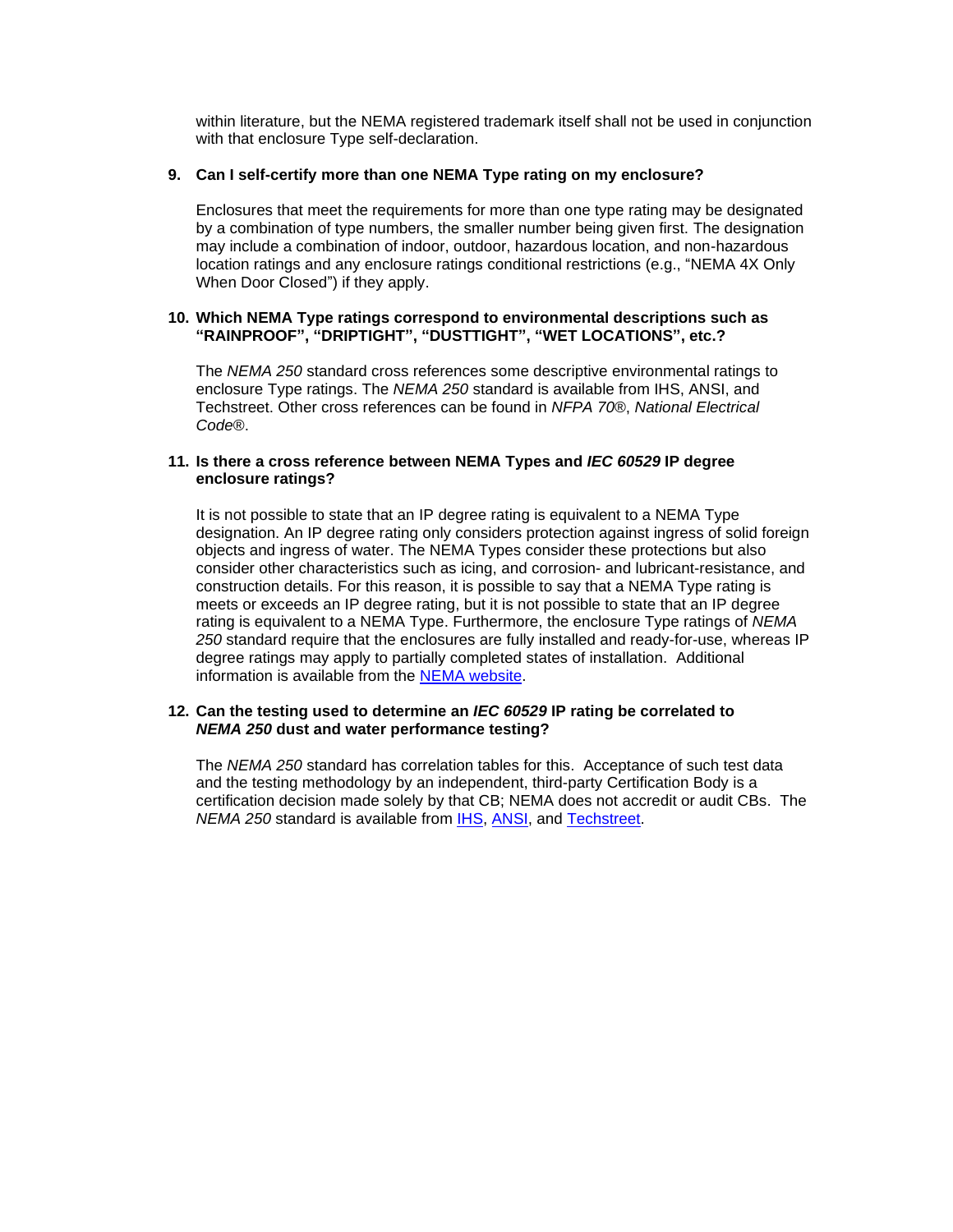within literature, but the NEMA registered trademark itself shall not be used in conjunction with that enclosure Type self-declaration.

# <span id="page-2-0"></span>**9. Can I self-certify more than one NEMA Type rating on my enclosure?**

Enclosures that meet the requirements for more than one type rating may be designated by a combination of type numbers, the smaller number being given first. The designation may include a combination of indoor, outdoor, hazardous location, and non-hazardous location ratings and any enclosure ratings conditional restrictions (e.g., "NEMA 4X Only When Door Closed") if they apply.

# <span id="page-2-1"></span>**10. Which NEMA Type ratings correspond to environmental descriptions such as "RAINPROOF", "DRIPTIGHT", "DUSTTIGHT", "WET LOCATIONS", etc.?**

The *NEMA 250* standard cross references some descriptive environmental ratings to enclosure Type ratings. The *NEMA 250* standard is available from IHS, ANSI, and Techstreet. Other cross references can be found in *NFPA 70*®, *National Electrical Code*®.

# <span id="page-2-2"></span>**11. Is there a cross reference between NEMA Types and** *IEC 60529* **IP degree enclosure ratings?**

It is not possible to state that an IP degree rating is equivalent to a NEMA Type designation. An IP degree rating only considers protection against ingress of solid foreign objects and ingress of water. The NEMA Types consider these protections but also consider other characteristics such as icing, and corrosion- and lubricant-resistance, and construction details. For this reason, it is possible to say that a NEMA Type rating is meets or exceeds an IP degree rating, but it is not possible to state that an IP degree rating is equivalent to a NEMA Type. Furthermore, the enclosure Type ratings of *NEMA 250* standard require that the enclosures are fully installed and ready-for-use, whereas IP degree ratings may apply to partially completed states of installation. Additional information is available from the [NEMA website.](https://www.nema.org/standards/view/a-brief-comparison-of-nema-250-and-iec-60529)

# <span id="page-2-3"></span>**12. Can the testing used to determine an** *IEC 60529* **IP rating be correlated to** *NEMA 250* **dust and water performance testing?**

The *NEMA 250* standard has correlation tables for this. Acceptance of such test data and the testing methodology by an independent, third-party Certification Body is a certification decision made solely by that CB; NEMA does not accredit or audit CBs. The *NEMA 250* standard is available from [IHS,](http://global.ihs.com/) [ANSI,](http://webstore.ansi.org/) and [Techstreet.](http://www.techstreet.com/)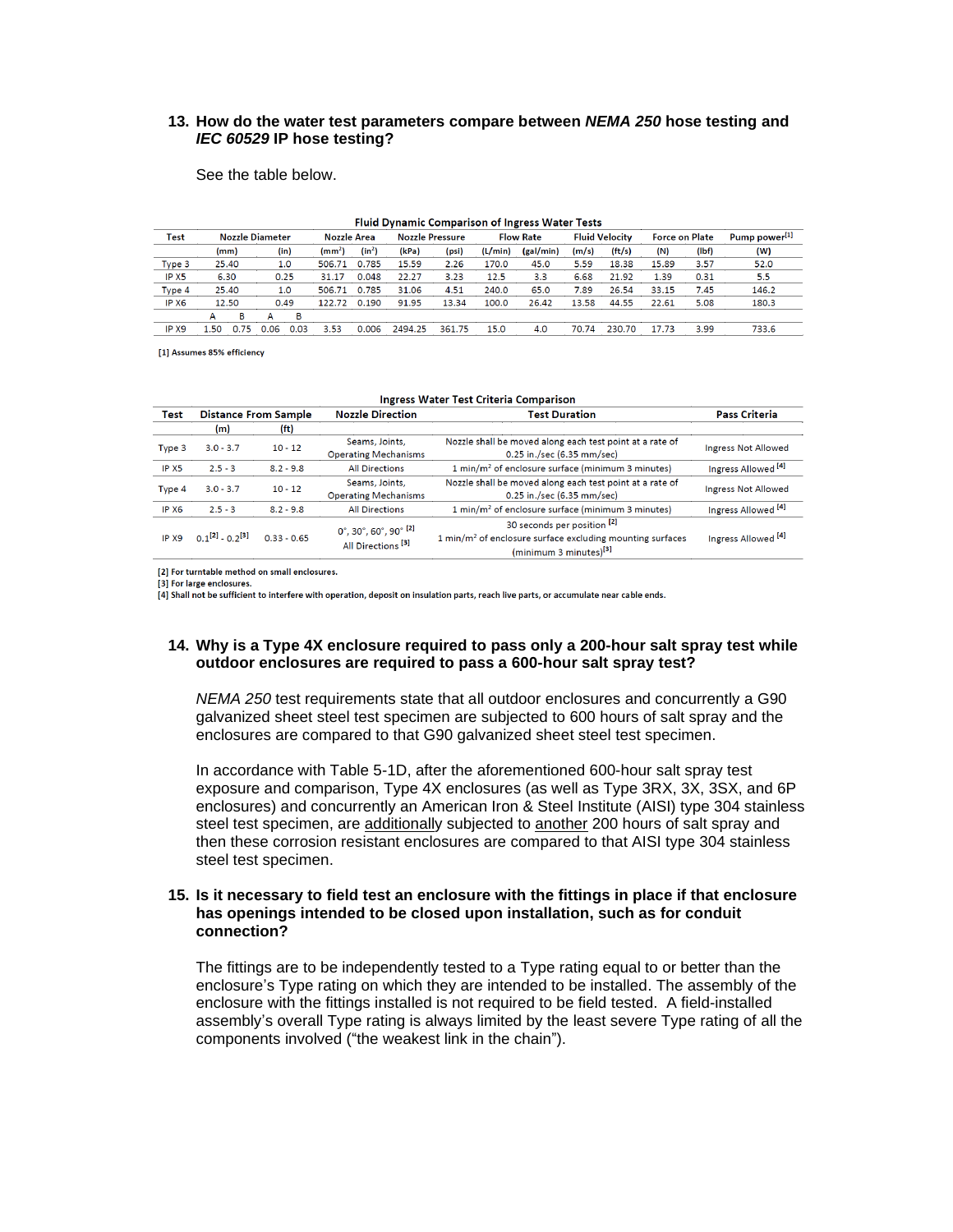# <span id="page-3-0"></span>**13. How do the water test parameters compare between** *NEMA 250* **hose testing and**  *IEC 60529* **IP hose testing?**

See the table below.

| <b>Fluid Dynamic Comparison of Ingress Water Tests</b> |                        |       |      |      |                    |          |                        |        |                  |           |                       |        |                       |       |                           |
|--------------------------------------------------------|------------------------|-------|------|------|--------------------|----------|------------------------|--------|------------------|-----------|-----------------------|--------|-----------------------|-------|---------------------------|
| Test                                                   | <b>Nozzle Diameter</b> |       |      |      | <b>Nozzle Area</b> |          | <b>Nozzle Pressure</b> |        | <b>Flow Rate</b> |           | <b>Fluid Velocity</b> |        | <b>Force on Plate</b> |       | Pump power <sup>[1]</sup> |
|                                                        |                        | (mm)  |      | (in) | (mm <sup>2</sup> ) | $(in^2)$ | (kPa)                  | (psi)  | (L/min)          | (gal/min) | (m/s)                 | (ft/s) | (N)                   | (Ibf) | (W)                       |
| Type 3                                                 | 25.40                  |       |      | 1.0  | 506.71             | 0.785    | 15.59                  | 2.26   | 170.0            | 45.0      | 5.59                  | 18.38  | 15.89                 | 3.57  | 52.0                      |
| IP X <sub>5</sub>                                      |                        | 6.30  |      | 0.25 |                    | 0.048    | 22.27                  | 3.23   | 12.5             | 3.3       | 6.68                  | 21.92  | 1.39                  | 0.31  | 5.5                       |
| Type 4                                                 |                        | 25.40 |      | 1.0  |                    | 0.785    | 31.06                  | 4.51   | 240.0            | 65.0      | 7.89                  | 26.54  | 33.15                 | 7.45  | 146.2                     |
| IP X6                                                  | 12.50                  |       | 0.49 |      | 122.72             | 0.190    | 91.95                  | 13.34  | 100.0            | 26.42     | 13.58                 | 44.55  | 22.61                 | 5.08  | 180.3                     |
|                                                        | A                      | в     | А    | в    |                    |          |                        |        |                  |           |                       |        |                       |       |                           |
| IP X9                                                  | .50                    | 0.75  | 0.06 | 0.03 | 3.53               | 0.006    | 2494.25                | 361.75 | 15.0             | 4.0       | 70.74                 | 230.70 | 17.73                 | 3.99  | 733.6                     |

[1] Assumes 85% efficiency

#### Ingress Water Test Criteria Comparison

| Test              |                         | <b>Distance From Sample</b> | <b>Nozzle Direction</b>                                     | <b>Test Duration</b>                                                                                                                      | <b>Pass Criteria</b>           |  |
|-------------------|-------------------------|-----------------------------|-------------------------------------------------------------|-------------------------------------------------------------------------------------------------------------------------------------------|--------------------------------|--|
|                   | (m)                     | (f <sup>t</sup> )           |                                                             |                                                                                                                                           |                                |  |
| Type 3            | $3.0 - 3.7$             | $10 - 12$                   | Seams, Joints,<br><b>Operating Mechanisms</b>               | Nozzle shall be moved along each test point at a rate of<br>0.25 in./sec (6.35 mm/sec)                                                    | <b>Ingress Not Allowed</b>     |  |
| IP X <sub>5</sub> | $2.5 - 3$               | $8.2 - 9.8$                 | <b>All Directions</b>                                       | 1 min/m <sup>2</sup> of enclosure surface (minimum 3 minutes)                                                                             | Ingress Allowed <sup>[4]</sup> |  |
| Type 4            | $3.0 - 3.7$             | $10 - 12$                   | Seams, Joints,<br><b>Operating Mechanisms</b>               | Nozzle shall be moved along each test point at a rate of<br>0.25 in./sec (6.35 mm/sec)                                                    | <b>Ingress Not Allowed</b>     |  |
| IP X <sub>6</sub> | $2.5 - 3$               | $8.2 - 9.8$                 | <b>All Directions</b>                                       | 1 min/m <sup>2</sup> of enclosure surface (minimum 3 minutes)                                                                             | Ingress Allowed <sup>[4]</sup> |  |
| IP X9             | $0.1^{[2]} - 0.2^{[3]}$ | $0.33 - 0.65$               | 0°, 30°, 60°, 90° $^{[2]}$<br>All Directions <sup>[3]</sup> | 30 seconds per position [2]<br>$1 \text{ min/m}^2$ of enclosure surface excluding mounting surfaces<br>(minimum 3 minutes) <sup>[3]</sup> | Ingress Allowed <sup>[4]</sup> |  |

[2] For turntable method on small enclosures.

[3] For large enclosures

[4] Shall not be sufficient to interfere with operation, deposit on insulation parts, reach live parts, or accumulate near cable ends.

#### <span id="page-3-1"></span>**14. Why is a Type 4X enclosure required to pass only a 200-hour salt spray test while outdoor enclosures are required to pass a 600-hour salt spray test?**

*NEMA 250* test requirements state that all outdoor enclosures and concurrently a G90 galvanized sheet steel test specimen are subjected to 600 hours of salt spray and the enclosures are compared to that G90 galvanized sheet steel test specimen.

In accordance with Table 5-1D, after the aforementioned 600-hour salt spray test exposure and comparison, Type 4X enclosures (as well as Type 3RX, 3X, 3SX, and 6P enclosures) and concurrently an American Iron & Steel Institute (AISI) type 304 stainless steel test specimen, are additionally subjected to another 200 hours of salt spray and then these corrosion resistant enclosures are compared to that AISI type 304 stainless steel test specimen.

#### <span id="page-3-2"></span>**15. Is it necessary to field test an enclosure with the fittings in place if that enclosure has openings intended to be closed upon installation, such as for conduit connection?**

The fittings are to be independently tested to a Type rating equal to or better than the enclosure's Type rating on which they are intended to be installed. The assembly of the enclosure with the fittings installed is not required to be field tested. A field-installed assembly's overall Type rating is always limited by the least severe Type rating of all the components involved ("the weakest link in the chain").